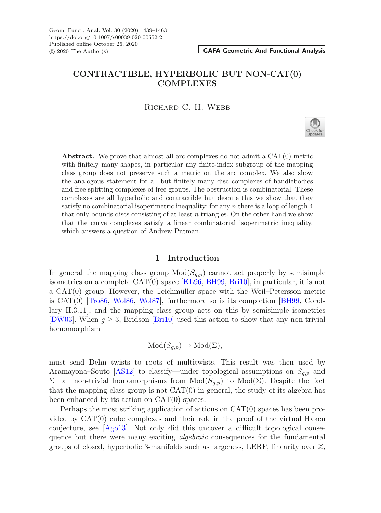# **CONTRACTIBLE, HYPERBOLIC BUT NON-CAT(0) COMPLEXES**

RICHARD C. H. WEBB



**Abstract.** We prove that almost all arc complexes do not admit a CAT(0) metric with finitely many shapes, in particular any finite-index subgroup of the mapping class group does not preserve such a metric on the arc complex. We also show the analogous statement for all but finitely many disc complexes of handlebodies and free splitting complexes of free groups. The obstruction is combinatorial. These complexes are all hyperbolic and contractible but despite this we show that they satisfy no combinatorial isoperimetric inequality: for any  $n$  there is a loop of length  $4$ that only bounds discs consisting of at least  $n$  triangles. On the other hand we show that the curve complexes satisfy a linear combinatorial isoperimetric inequality, which answers a question of Andrew Putman.

## **1 Introduction**

In general the mapping class group  $Mod(S_{q,p})$  cannot act properly by semisimple isometries on a complete CAT(0) space [\[KL96,](#page-23-0) [BH99,](#page-22-0) [Bri10](#page-22-1)], in particular, it is not a  $CAT(0)$  group. However, the Teichmüller space with the Weil–Petersson metric is CAT(0) [\[Tro86,](#page-23-1) [Wol86,](#page-23-2) [Wol87](#page-23-3)], furthermore so is its completion [\[BH99](#page-22-0), Corollary II.3.11], and the mapping class group acts on this by semisimple isometries [\[DW03\]](#page-22-2). When  $g \geq 3$ , Bridson [\[Bri10](#page-22-1)] used this action to show that any non-trivial homomorphism

$$
Mod(S_{g,p}) \to Mod(\Sigma),
$$

must send Dehn twists to roots of multitwists. This result was then used by Aramayona–Souto [\[AS12\]](#page-22-3) to classify—under topological assumptions on  $S_{g,p}$  and  $\Sigma$ —all non-trivial homomorphisms from Mod( $S_{q,p}$ ) to Mod( $\Sigma$ ). Despite the fact that the mapping class group is not  $CAT(0)$  in general, the study of its algebra has been enhanced by its action on CAT(0) spaces.

Perhaps the most striking application of actions on CAT(0) spaces has been provided by  $CAT(0)$  cube complexes and their role in the proof of the virtual Haken conjecture, see [\[Ago13\]](#page-22-4). Not only did this uncover a difficult topological consequence but there were many exciting *algebraic* consequences for the fundamental groups of closed, hyperbolic 3-manifolds such as largeness, LERF, linearity over  $\mathbb{Z}$ ,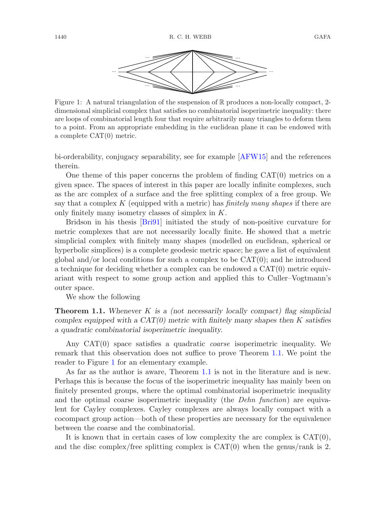

<span id="page-1-1"></span>Figure 1: A natural triangulation of the suspension of  $\mathbb R$  produces a non-locally compact, 2dimensional simplicial complex that satisfies no combinatorial isoperimetric inequality: there are loops of combinatorial length four that require arbitrarily many triangles to deform them to a point. From an appropriate embedding in the euclidean plane it can be endowed with a complete CAT(0) metric.

bi-orderability, conjugacy separability, see for example [\[AFW15](#page-22-5)] and the references therein.

One theme of this paper concerns the problem of finding  $CAT(0)$  metrics on a given space. The spaces of interest in this paper are locally infinite complexes, such as the arc complex of a surface and the free splitting complex of a free group. We say that a complex K (equipped with a metric) has *finitely many shapes* if there are only finitely many isometry classes of simplex in K.

Bridson in his thesis [\[Bri91](#page-22-6)] initiated the study of non-positive curvature for metric complexes that are not necessarily locally finite. He showed that a metric simplicial complex with finitely many shapes (modelled on euclidean, spherical or hyperbolic simplices) is a complete geodesic metric space; he gave a list of equivalent global and/or local conditions for such a complex to be  $CAT(0)$ ; and he introduced a technique for deciding whether a complex can be endowed a CAT(0) metric equivariant with respect to some group action and applied this to Culler–Vogtmann's outer space.

<span id="page-1-0"></span>We show the following

**Theorem 1.1.** *Whenever* K *is a (not necessarily locally compact) flag simplicial complex equipped with a CAT(0) metric with finitely many shapes then* K *satisfies a quadratic combinatorial isoperimetric inequality.*

Any CAT(0) space satisfies a quadratic *coarse* isoperimetric inequality. We remark that this observation does not suffice to prove Theorem [1.1.](#page-1-0) We point the reader to Figure [1](#page-1-1) for an elementary example.

As far as the author is aware, Theorem [1.1](#page-1-0) is not in the literature and is new. Perhaps this is because the focus of the isoperimetric inequality has mainly been on finitely presented groups, where the optimal combinatorial isoperimetric inequality and the optimal coarse isoperimetric inequality (the *Dehn function*) are equivalent for Cayley complexes. Cayley complexes are always locally compact with a cocompact group action—both of these properties are necessary for the equivalence between the coarse and the combinatorial.

It is known that in certain cases of low complexity the arc complex is  $CAT(0)$ , and the disc complex/free splitting complex is  $CAT(0)$  when the genus/rank is 2.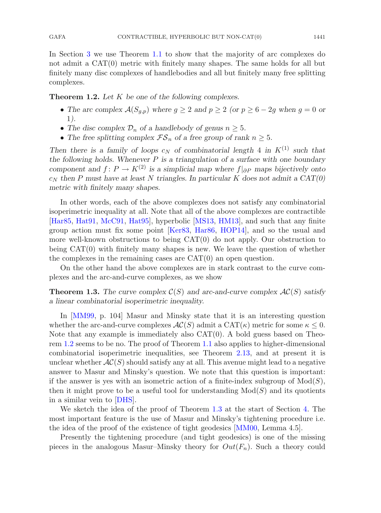In Section [3](#page-11-0) we use Theorem [1.1](#page-1-0) to show that the majority of arc complexes do not admit a CAT(0) metric with finitely many shapes. The same holds for all but finitely many disc complexes of handlebodies and all but finitely many free splitting complexes.

<span id="page-2-0"></span>**Theorem 1.2.** *Let* K *be one of the following complexes.*

- The arc complex  $\mathcal{A}(S_{g,p})$  where  $g \geq 2$  and  $p \geq 2$  (or  $p \geq 6 2g$  when  $g = 0$  or 1*).*
- The disc complex  $\mathcal{D}_n$  of a handlebody of genus  $n \geq 5$ .
- The free splitting complex  $\mathcal{FS}_n$  of a free group of rank  $n \geq 5$ .

*Then there is a family of loops*  $c_N$  *of combinatorial length* 4 *in*  $K^{(1)}$  *such that the following holds. Whenever* P *is a triangulation of a surface with one boundary component and*  $f: P \to K^{(2)}$  *is a simplicial map where*  $f|_{\partial P}$  *maps bijectively onto*  $c_N$  then P must have at least N triangles. In particular K does not admit a  $CAT(0)$ *metric with finitely many shapes.*

In other words, each of the above complexes does not satisfy any combinatorial isoperimetric inequality at all. Note that all of the above complexes are contractible [\[Har85](#page-23-4), [Hat91,](#page-23-5) [McC91](#page-23-6), [Hat95\]](#page-23-7), hyperbolic [\[MS13](#page-23-8), [HM13\]](#page-23-9), and such that any finite group action must fix some point [\[Ker83,](#page-23-10) [Har86,](#page-23-11) [HOP14\]](#page-23-12), and so the usual and more well-known obstructions to being  $CAT(0)$  do not apply. Our obstruction to being CAT(0) with finitely many shapes is new. We leave the question of whether the complexes in the remaining cases are  $CAT(0)$  an open question.

<span id="page-2-1"></span>On the other hand the above complexes are in stark contrast to the curve complexes and the arc-and-curve complexes, as we show

**Theorem 1.3.** The curve complex  $C(S)$  and arc-and-curve complex  $AC(S)$  satisfy *a linear combinatorial isoperimetric inequality.*

In [\[MM99](#page-23-13), p. 104] Masur and Minsky state that it is an interesting question whether the arc-and-curve complexes  $AC(S)$  admit a  $CAT(\kappa)$  metric for some  $\kappa \leq 0$ . Note that any example is immediately also  $CAT(0)$ . A bold guess based on Theorem [1.2](#page-2-0) seems to be no. The proof of Theorem [1.1](#page-1-0) also applies to higher-dimensional combinatorial isoperimetric inequalities, see Theorem [2.13,](#page-10-0) and at present it is unclear whether  $AC(S)$  should satisfy any at all. This avenue might lead to a negative answer to Masur and Minsky's question. We note that this question is important: if the answer is yes with an isometric action of a finite-index subgroup of  $Mod(S)$ , then it might prove to be a useful tool for understanding  $Mod(S)$  and its quotients in a similar vein to [\[DHS](#page-22-7)].

We sketch the idea of the proof of Theorem [1.3](#page-2-1) at the start of Section [4.](#page-15-0) The most important feature is the use of Masur and Minsky's tightening procedure i.e. the idea of the proof of the existence of tight geodesics [\[MM00,](#page-23-14) Lemma 4.5].

Presently the tightening procedure (and tight geodesics) is one of the missing pieces in the analogous Masur–Minsky theory for  $Out(F_n)$ . Such a theory could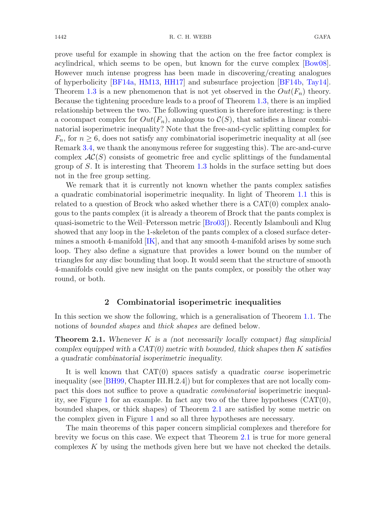prove useful for example in showing that the action on the free factor complex is acylindrical, which seems to be open, but known for the curve complex [\[Bow08](#page-22-8)]. However much intense progress has been made in discovering/creating analogues of hyperbolicity [\[BF14a](#page-22-9), [HM13,](#page-23-9) [HH17](#page-23-15)] and subsurface projection [\[BF14b](#page-22-10), [Tay14](#page-23-16)]. Theorem [1.3](#page-2-1) is a new phenomenon that is not yet observed in the  $Out(F_n)$  theory. Because the tightening procedure leads to a proof of Theorem [1.3,](#page-2-1) there is an implied relationship between the two. The following question is therefore interesting: is there a cocompact complex for  $Out(F_n)$ , analogous to  $C(S)$ , that satisfies a linear combinatorial isoperimetric inequality? Note that the free-and-cyclic splitting complex for  $F_n$ , for  $n \geq 6$ , does not satisfy any combinatorial isoperimetric inequality at all (see Remark [3.4,](#page-15-1) we thank the anonymous referee for suggesting this). The arc-and-curve complex  $AC(S)$  consists of geometric free and cyclic splittings of the fundamental group of S. It is interesting that Theorem [1.3](#page-2-1) holds in the surface setting but does

We remark that it is currently not known whether the pants complex satisfies a quadratic combinatorial isoperimetric inequality. In light of Theorem [1.1](#page-1-0) this is related to a question of Brock who asked whether there is a CAT(0) complex analogous to the pants complex (it is already a theorem of Brock that the pants complex is quasi-isometric to the Weil–Petersson metric [\[Bro03\]](#page-22-11)). Recently Islambouli and Klug showed that any loop in the 1-skeleton of the pants complex of a closed surface determines a smooth 4-manifold  $[IK]$ , and that any smooth 4-manifold arises by some such loop. They also define a signature that provides a lower bound on the number of triangles for any disc bounding that loop. It would seem that the structure of smooth 4-manifolds could give new insight on the pants complex, or possibly the other way round, or both.

## **2 Combinatorial isoperimetric inequalities**

<span id="page-3-0"></span>In this section we show the following, which is a generalisation of Theorem [1.1.](#page-1-0) The notions of *bounded shapes* and *thick shapes* are defined below.

**Theorem 2.1.** *Whenever* K *is a (not necessarily locally compact) flag simplicial complex equipped with a CAT(0) metric with bounded, thick shapes then* K *satisfies a quadratic combinatorial isoperimetric inequality.*

It is well known that CAT(0) spaces satisfy a quadratic *coarse* isoperimetric inequality (see [\[BH99,](#page-22-0) Chapter III.H.2.4]) but for complexes that are not locally compact this does not suffice to prove a quadratic *combinatorial* isoperimetric inequal-ity, see Figure [1](#page-1-1) for an example. In fact any two of the three hypotheses  $(CAT(0),$ bounded shapes, or thick shapes) of Theorem [2.1](#page-3-0) are satisfied by some metric on the complex given in Figure [1](#page-1-1) and so all three hypotheses are necessary.

The main theorems of this paper concern simplicial complexes and therefore for brevity we focus on this case. We expect that Theorem [2.1](#page-3-0) is true for more general complexes  $K$  by using the methods given here but we have not checked the details.

not in the free group setting.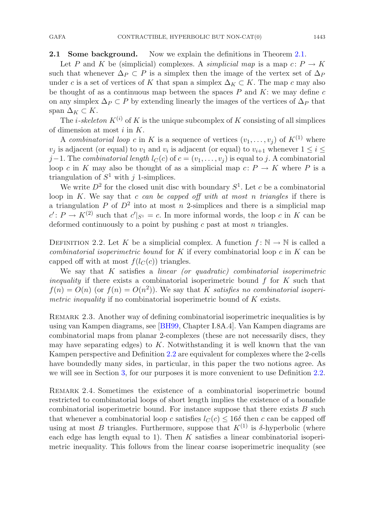#### **2.1 Some background.** Now we explain the definitions in Theorem [2.1.](#page-3-0)

Let P and K be (simplicial) complexes. A *simplicial map* is a map  $c: P \to K$ such that whenever  $\Delta_P \subset P$  is a simplex then the image of the vertex set of  $\Delta_P$ under c is a set of vertices of K that span a simplex  $\Delta_K \subset K$ . The map c may also be thought of as a continuous map between the spaces  $P$  and  $K$ : we may define  $c$ on any simplex  $\Delta_P \subset P$  by extending linearly the images of the vertices of  $\Delta_P$  that span  $\Delta_K \subset K$ .

The *i*-skeleton  $K^{(i)}$  of K is the unique subcomplex of K consisting of all simplices of dimension at most  $i$  in  $K$ .

A *combinatorial loop* c in K is a sequence of vertices  $(v_1, \ldots, v_j)$  of  $K^{(1)}$  where  $v_i$  is adjacent (or equal) to  $v_1$  and  $v_i$  is adjacent (or equal) to  $v_{i+1}$  whenever  $1 \leq i \leq$ j−1. The *combinatorial length*  $l_C(c)$  of  $c = (v_1, \ldots, v_j)$  is equal to j. A combinatorial loop c in K may also be thought of as a simplicial map  $c: P \to K$  where P is a triangulation of  $S^1$  with j 1-simplices.

We write  $D^2$  for the closed unit disc with boundary  $S^1$ . Let c be a combinatorial loop in K. We say that c *can be capped off with at most* n *triangles* if there is a triangulation P of  $D^2$  into at most n 2-simplices and there is a simplicial map  $c' : P \to K^{(2)}$  such that  $c'|_{S^1} = c$ . In more informal words, the loop c in K can be deformed continuously to a point by pushing  $c$  past at most  $n$  triangles.

<span id="page-4-0"></span>DEFINITION 2.2. Let K be a simplicial complex. A function  $f: \mathbb{N} \to \mathbb{N}$  is called a *combinatorial isoperimetric bound* for K if every combinatorial loop c in K can be capped off with at most  $f(l<sub>C</sub>(c))$  triangles.

We say that K satisfies a *linear (or quadratic) combinatorial isoperimetric inequality* if there exists a combinatorial isoperimetric bound f for K such that  $f(n) = O(n)$  (or  $f(n) = O(n^2)$ ). We say that K *satisfies no combinatorial isoperimetric inequality* if no combinatorial isoperimetric bound of K exists.

REMARK 2.3. Another way of defining combinatorial isoperimetric inequalities is by using van Kampen diagrams, see [\[BH99,](#page-22-0) Chapter I.8A.4]. Van Kampen diagrams are combinatorial maps from planar 2-complexes (these are not necessarily discs, they may have separating edges) to  $K$ . Notwithstanding it is well known that the van Kampen perspective and Definition [2.2](#page-4-0) are equivalent for complexes where the 2-cells have boundedly many sides, in particular, in this paper the two notions agree. As we will see in Section [3,](#page-11-0) for our purposes it is more convenient to use Definition [2.2.](#page-4-0)

Remark 2.4. Sometimes the existence of a combinatorial isoperimetric bound restricted to combinatorial loops of short length implies the existence of a bonafide combinatorial isoperimetric bound. For instance suppose that there exists B such that whenever a combinatorial loop c satisfies  $l_C(c) \leq 16\delta$  then c can be capped off using at most B triangles. Furthermore, suppose that  $K^{(1)}$  is  $\delta$ -hyperbolic (where each edge has length equal to 1). Then  $K$  satisfies a linear combinatorial isoperimetric inequality. This follows from the linear coarse isoperimetric inequality (see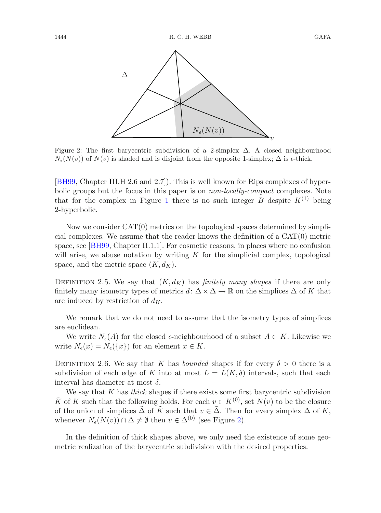

<span id="page-5-0"></span>Figure 2: The first barycentric subdivision of a 2-simplex  $\Delta$ . A closed neighbourhood  $N_{\epsilon}(N(v))$  of  $N(v)$  is shaded and is disjoint from the opposite 1-simplex;  $\Delta$  is  $\epsilon$ -thick.

[\[BH99](#page-22-0), Chapter III.H 2.6 and 2.7]). This is well known for Rips complexes of hyperbolic groups but the focus in this paper is on *non-locally-compact* complexes. Note that for the complex in Figure [1](#page-1-1) there is no such integer B despite  $K^{(1)}$  being 2-hyperbolic.

Now we consider CAT(0) metrics on the topological spaces determined by simplicial complexes. We assume that the reader knows the definition of a CAT(0) metric space, see [\[BH99,](#page-22-0) Chapter II.1.1]. For cosmetic reasons, in places where no confusion will arise, we abuse notation by writing  $K$  for the simplicial complex, topological space, and the metric space  $(K, d_K)$ .

DEFINITION 2.5. We say that  $(K, d_K)$  has *finitely many shapes* if there are only finitely many isometry types of metrics  $d: \Delta \times \Delta \to \mathbb{R}$  on the simplices  $\Delta$  of K that are induced by restriction of  $d_K$ .

We remark that we do not need to assume that the isometry types of simplices are euclidean.

<span id="page-5-1"></span>We write  $N_{\epsilon}(A)$  for the closed  $\epsilon$ -neighbourhood of a subset  $A \subset K$ . Likewise we write  $N_{\epsilon}(x) = N_{\epsilon}(\{x\})$  for an element  $x \in K$ .

DEFINITION 2.6. We say that K has *bounded* shapes if for every  $\delta > 0$  there is a subdivision of each edge of K into at most  $L = L(K, \delta)$  intervals, such that each interval has diameter at most  $\delta$ .

We say that K has *thick* shapes if there exists some first barycentric subdivision  $\tilde{K}$  of K such that the following holds. For each  $v \in K^{(0)}$ , set  $N(v)$  to be the closure of the union of simplices  $\tilde{\Delta}$  of  $\tilde{K}$  such that  $v \in \tilde{\Delta}$ . Then for every simplex  $\Delta$  of K, whenever  $N_e(N(v)) \cap \Delta \neq \emptyset$  then  $v \in \Delta^{(0)}$  (see Figure [2\)](#page-5-0).

In the definition of thick shapes above, we only need the existence of some geometric realization of the barycentric subdivision with the desired properties.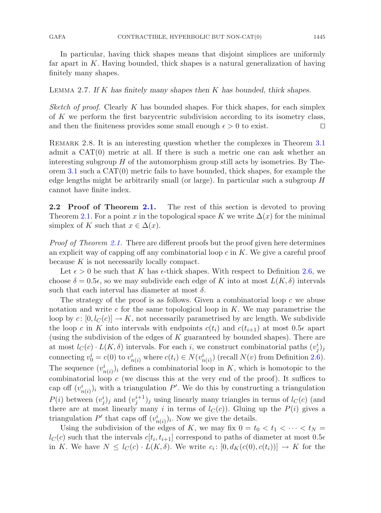In particular, having thick shapes means that disjoint simplices are uniformly far apart in  $K$ . Having bounded, thick shapes is a natural generalization of having finitely many shapes.

#### <span id="page-6-0"></span>Lemma 2.7. *If* K *has finitely many shapes then* K *has bounded, thick shapes.*

*Sketch of proof.* Clearly K has bounded shapes. For thick shapes, for each simplex of K we perform the first barycentric subdivision according to its isometry class, and then the finiteness provides some small enough  $\epsilon > 0$  to exist.  $\Box$ 

REMARK 2.8. It is an interesting question whether the complexes in Theorem [3.1](#page-11-1) admit a CAT(0) metric at all. If there is such a metric one can ask whether an interesting subgroup  $H$  of the automorphism group still acts by isometries. By Theorem [3.1](#page-11-1) such a CAT(0) metric fails to have bounded, thick shapes, for example the edge lengths might be arbitrarily small (or large). In particular such a subgroup  $H$ cannot have finite index.

**2.2 Proof of Theorem [2.1.](#page-3-0)** The rest of this section is devoted to proving Theorem [2.1.](#page-3-0) For a point x in the topological space K we write  $\Delta(x)$  for the minimal simplex of K such that  $x \in \Delta(x)$ .

*Proof of Theorem [2.1.](#page-3-0)* There are different proofs but the proof given here determines an explicit way of capping off any combinatorial loop  $c$  in  $K$ . We give a careful proof because  $K$  is not necessarily locally compact.

Let  $\epsilon > 0$  be such that K has  $\epsilon$ -thick shapes. With respect to Definition [2.6,](#page-5-1) we choose  $\delta = 0.5\epsilon$ , so we may subdivide each edge of K into at most  $L(K,\delta)$  intervals such that each interval has diameter at most  $\delta$ .

The strategy of the proof is as follows. Given a combinatorial loop  $c$  we abuse notation and write c for the same topological loop in  $K$ . We may parametrise the loop by  $c: [0, l_C(c)] \to K$ , not necessarily parametrised by arc length. We subdivide the loop c in K into intervals with endpoints  $c(t_i)$  and  $c(t_{i+1})$  at most 0.5 $\epsilon$  apart (using the subdivision of the edges of  $K$  guaranteed by bounded shapes). There are at most  $l_C(c) \cdot L(K, \delta)$  intervals. For each i, we construct combinatorial paths  $(v_j^i)_j$ connecting  $v_0^i = c(0)$  to  $v_{n(i)}^i$  where  $c(t_i) \in N(v_{n(i)}^i)$  (recall  $N(v)$  from Definition [2.6\)](#page-5-1). The sequence  $(v_{n(i)}^i)_i$  defines a combinatorial loop in K, which is homotopic to the combinatorial loop  $c$  (we discuss this at the very end of the proof). It suffices to cap off  $(v_{n(i)}^i)_i$  with a triangulation P'. We do this by constructing a triangulation  $P(i)$  between  $(v_j^i)_j$  and  $(v_j^{i+1})_j$  using linearly many triangles in terms of  $l_C(c)$  (and there are at most linearly many i in terms of  $l<sub>C</sub>(c)$ . Gluing up the  $P(i)$  gives a triangulation  $P'$  that caps off  $(v_{n(i)}^i)_i$ . Now we give the details.

Using the subdivision of the edges of K, we may fix  $0 = t_0 < t_1 < \cdots < t_N$  $l<sub>C</sub>(c)$  such that the intervals  $c[t<sub>i</sub>, t<sub>i+1</sub>]$  correspond to paths of diameter at most  $0.5\epsilon$ in K. We have  $N \leq l_C(c) \cdot L(K, \delta)$ . We write  $c_i : [0, d_K(c(0), c(t_i))] \to K$  for the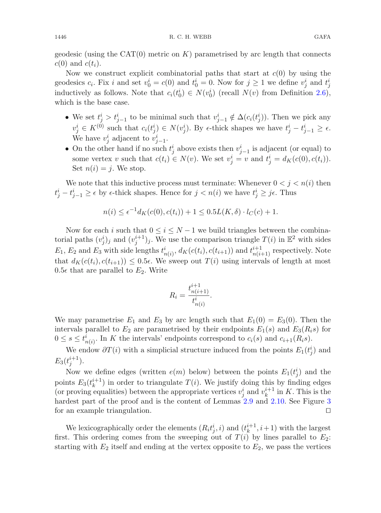geodesic (using the  $CAT(0)$  metric on K) parametrised by arc length that connects  $c(0)$  and  $c(t_i)$ .

Now we construct explicit combinatorial paths that start at  $c(0)$  by using the geodesics  $c_i$ . Fix i and set  $v_0^i = c(0)$  and  $t_0^i = 0$ . Now for  $j \ge 1$  we define  $v_j^i$  and  $t_j^i$ inductively as follows. Note that  $c_i(t_0^i) \in N(v_0^i)$  (recall  $N(v)$  from Definition [2.6\)](#page-5-1), which is the base case.

- We set  $t_j^i > t_{j-1}^i$  to be minimal such that  $v_{j-1}^i \notin \Delta(c_i(t_j^i))$ . Then we pick any  $v_j^i \in K^{(0)}$  such that  $c_i(t_j^i) \in N(v_j^i)$ . By  $\epsilon$ -thick shapes we have  $t_j^i - t_{j-1}^i \geq \epsilon$ . We have  $v_j^i$  adjacent to  $v_{j-1}^i$ .
- On the other hand if no such  $t_j^i$  above exists then  $v_{j-1}^i$  is adjacent (or equal) to some vertex v such that  $c(t_i) \in N(v)$ . We set  $v_j^i = v$  and  $t_j^i = d_K(c(0), c(t_i))$ . Set  $n(i) = j$ . We stop.

We note that this inductive process must terminate: Whenever  $0 < j < n(i)$  then  $t_j^i - t_{j-1}^i \geq \epsilon$  by  $\epsilon$ -thick shapes. Hence for  $j < n(i)$  we have  $t_j^i \geq j\epsilon$ . Thus

$$
n(i) \le \epsilon^{-1} d_K(c(0), c(t_i)) + 1 \le 0.5L(K, \delta) \cdot l_C(c) + 1.
$$

Now for each i such that  $0 \le i \le N-1$  we build triangles between the combinatorial paths  $(v_j^i)_j$  and  $(v_j^{i+1})_j$ . We use the comparison triangle  $T(i)$  in  $\mathbb{E}^2$  with sides  $E_1, E_2$  and  $E_3$  with side lengths  $t^i_{n(i)}$ ,  $d_K(c(t_i), c(t_{i+1}))$  and  $t^{i+1}_{n(i+1)}$  respectively. Note that  $d_K(c(t_i), c(t_{i+1})) \leq 0.5\epsilon$ . We sweep out  $T(i)$  using intervals of length at most  $0.5\epsilon$  that are parallel to  $E_2$ . Write

$$
R_i = \frac{t_{n(i+1)}^{i+1}}{t_{n(i)}^i}.
$$

We may parametrise  $E_1$  and  $E_3$  by arc length such that  $E_1(0) = E_3(0)$ . Then the intervals parallel to  $E_2$  are parametrised by their endpoints  $E_1(s)$  and  $E_3(R_i s)$  for  $0 \leq s \leq t_{n(i)}^i$ . In K the intervals' endpoints correspond to  $c_i(s)$  and  $c_{i+1}(R_i s)$ .

We endow  $\partial T(i)$  with a simplicial structure induced from the points  $E_1(t_j^i)$  and  $E_3(t_j^{i+1}).$ 

Now we define edges (written  $e(m)$  below) between the points  $E_1(t_j^i)$  and the points  $E_3(t_k^{i+1})$  in order to triangulate  $T(i)$ . We justify doing this by finding edges (or proving equalities) between the appropriate vertices  $v_j^i$  and  $v_k^{i+1}$  in K. This is the hardest part of the proof and is the content of Lemmas [2.9](#page-8-0) and [2.10.](#page-9-0) See Figure [3](#page-8-1) for an example triangulation.  $\Box$ 

We lexicographically order the elements  $(R_i t_j^i, i)$  and  $(t_k^{i+1}, i+1)$  with the largest first. This ordering comes from the sweeping out of  $T(i)$  by lines parallel to  $E_2$ : starting with  $E_2$  itself and ending at the vertex opposite to  $E_2$ , we pass the vertices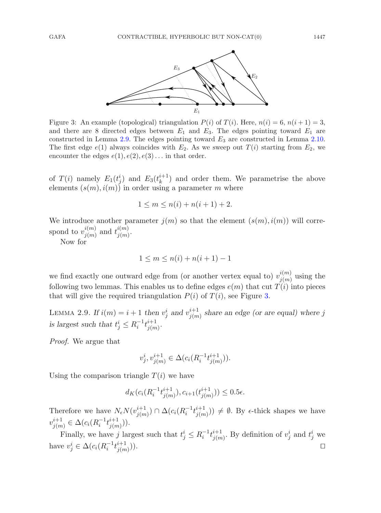

<span id="page-8-1"></span>Figure 3: An example (topological) triangulation  $P(i)$  of  $T(i)$ . Here,  $n(i) = 6$ ,  $n(i + 1) = 3$ , and there are 8 directed edges between  $E_1$  and  $E_3$ . The edges pointing toward  $E_1$  are constructed in Lemma  $2.9$ . The edges pointing toward  $E_3$  are constructed in Lemma [2.10.](#page-9-0) The first edge  $e(1)$  always coincides with  $E_2$ . As we sweep out  $T(i)$  starting from  $E_2$ , we encounter the edges  $e(1), e(2), e(3) \dots$  in that order.

of  $T(i)$  namely  $E_1(t_j^i)$  and  $E_3(t_k^{i+1})$  and order them. We parametrise the above elements  $(s(m), i(m))$  in order using a parameter m where

$$
1 \le m \le n(i) + n(i+1) + 2.
$$

We introduce another parameter  $j(m)$  so that the element  $(s(m), i(m))$  will correspond to  $v^{i(m)}_{j(m)}$  and  $t^{i(m)}_{j(m)}$  $\frac{i(m)}{j(m)}$ .

Now for

$$
1 \le m \le n(i) + n(i+1) - 1
$$

we find exactly one outward edge from (or another vertex equal to)  $v_{j(m)}^{i(m)}$  using the following two lemmas. This enables us to define edges  $e(m)$  that cut  $T(i)$  into pieces that will give the required triangulation  $P(i)$  of  $T(i)$ , see Figure [3.](#page-8-1)

<span id="page-8-0"></span>LEMMA 2.9. If  $i(m) = i + 1$  then  $v_j^i$  and  $v_{j(m)}^{i+1}$  share an edge (or are equal) where j is largest such that  $t_j^i \leq R_i^{-1} t_{j(m)}^{i+1}$  $^{i+1}_{j(m)}$ .

*Proof.* We argue that

$$
v_j^i, v_{j(m)}^{i+1} \in \Delta(c_i(R_i^{-1}t_{j(m)}^{i+1})).
$$

Using the comparison triangle  $T(i)$  we have

$$
d_K(c_i(R_i^{-1}t_{j(m)}^{i+1}), c_{i+1}(t_{j(m)}^{i+1})) \le 0.5\epsilon.
$$

Therefore we have  $N_{\epsilon}N(v_{j(m)}^{i+1}) \cap \Delta(c_i(R_i^{-1}t_{j(m)}^{i+1}))$  $\binom{i+1}{j(m)}$   $\neq \emptyset$ . By  $\epsilon$ -thick shapes we have  $v^{i+1}_{j(m)} \in \Delta(c_i(R_i^{-1}t_{j(m)}^{i+1}))$  $\binom{i+1}{j(m)}$ .

Finally, we have j largest such that  $t_j^i \leq R_i^{-1} t_{j(m)}^{i+1}$  $j_{(m)}^{i+1}$ . By definition of  $v_j^i$  and  $t_j^i$  we have  $v_j^i \in \Delta(c_i(R_i^{-1}t_{j(m)}^{i+1}))$  $j(m)$ )).  $\Box$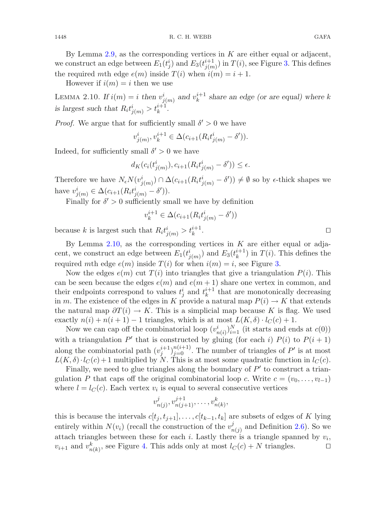By Lemma [2.9,](#page-8-0) as the corresponding vertices in  $K$  are either equal or adjacent, we construct an edge between  $E_1(t_j^i)$  and  $E_3(t_{j(m)}^{i+1})$  $j(m)$  in  $T(i)$ , see Figure [3.](#page-8-1) This defines the required mth edge  $e(m)$  inside  $T(i)$  when  $i(m) = i + 1$ .

<span id="page-9-0"></span>However if  $i(m) = i$  then we use

LEMMA 2.10. If  $i(m) = i$  then  $v^i_{j(m)}$  and  $v^{i+1}_k$  share an edge (or are equal) where k is largest such that  $R_i t^i_{j(m)} > t^{i+1}_k$ .

*Proof.* We argue that for sufficiently small  $\delta' > 0$  we have

$$
v_{j(m)}^i, v_k^{i+1} \in \Delta(c_{i+1}(R_i t_{j(m)}^i - \delta')).
$$

Indeed, for sufficiently small  $\delta' > 0$  we have

$$
d_K(c_i(t^i_{j(m)}), c_{i+1}(R_i t^i_{j(m)} - \delta')) \le \epsilon.
$$

Therefore we have  $N_{\epsilon}N(v_{j(m)}^i) \cap \Delta(c_{i+1}(R_i t_{j(m)}^i - \delta')) \neq \emptyset$  so by  $\epsilon$ -thick shapes we have  $v_{j(m)}^{i} \in \Delta(c_{i+1}(R_{i}t_{j(m)}^{i} - \delta')).$ 

Finally for  $\delta' > 0$  sufficiently small we have by definition

$$
v_k^{i+1} \in \Delta(c_{i+1}(R_i t_{j(m)}^i - \delta'))
$$

because k is largest such that  $R_i t^i_{j(m)} > t^{i+1}_k$  $\frac{i+1}{k}$ .

By Lemma  $2.10$ , as the corresponding vertices in K are either equal or adjacent, we construct an edge between  $E_1(t^i_{j(m)})$  and  $E_3(t^{i+1}_k)$  in  $T(i)$ . This defines the required mth edge  $e(m)$  inside  $T(i)$  for when  $i(m) = i$ , see Figure [3.](#page-8-1)

Now the edges  $e(m)$  cut  $T(i)$  into triangles that give a triangulation  $P(i)$ . This can be seen because the edges  $e(m)$  and  $e(m + 1)$  share one vertex in common, and their endpoints correspond to values  $t_j^i$  and  $t_k^{i+1}$  that are monotonically decreasing in m. The existence of the edges in K provide a natural map  $P(i) \to K$  that extends the natural map  $\partial T(i) \to K$ . This is a simplicial map because K is flag. We used exactly  $n(i) + n(i + 1) - 1$  triangles, which is at most  $L(K, \delta) \cdot l_C(c) + 1$ .

Now we can cap off the combinatorial loop  $(v_{n(i)}^i)_{i=1}^N$  (it starts and ends at  $c(0)$ ) with a triangulation P' that is constructed by gluing (for each i)  $P(i)$  to  $P(i+1)$ along the combinatorial path  $(v_j^{i+1})_{j=0}^{n(i+1)}$ . The number of triangles of P' is at most  $L(K, \delta) \cdot l_C(c) + 1$  multiplied by N. This is at most some quadratic function in  $l_C(c)$ .

Finally, we need to glue triangles along the boundary of  $P'$  to construct a triangulation P that caps off the original combinatorial loop c. Write  $c = (v_0, \ldots, v_{l-1})$ where  $l = l<sub>C</sub>(c)$ . Each vertex  $v<sub>i</sub>$  is equal to several consecutive vertices

$$
v_{n(j)}^j, v_{n(j+1)}^{j+1}, \ldots, v_{n(k)}^k,
$$

this is because the intervals  $c[t_j, t_{j+1}], \ldots, c[t_{k-1}, t_k]$  are subsets of edges of K lying entirely within  $N(v_i)$  (recall the construction of the  $v_{n(j)}^j$  and Definition [2.6\)](#page-5-1). So we attach triangles between these for each  $i$ . Lastly there is a triangle spanned by  $v_i$ ,  $v_{i+1}$  and  $v_{n(k)}^k$ , see Figure [4.](#page-10-1) This adds only at most  $l_C(c) + N$  triangles.  $\Box$ 

 $\Box$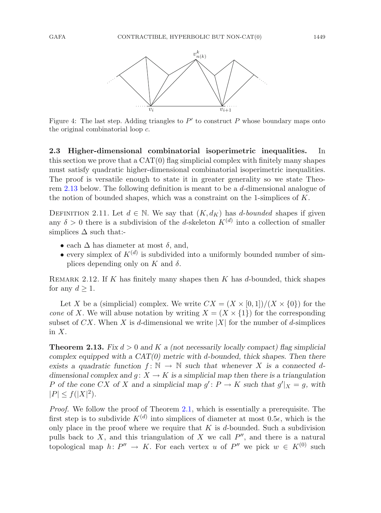

<span id="page-10-1"></span>Figure 4: The last step. Adding triangles to  $P'$  to construct P whose boundary maps onto the original combinatorial loop c.

**2.3 Higher-dimensional combinatorial isoperimetric inequalities.** In this section we prove that a  $CAT(0)$  flag simplicial complex with finitely many shapes must satisfy quadratic higher-dimensional combinatorial isoperimetric inequalities. The proof is versatile enough to state it in greater generality so we state Theorem [2.13](#page-10-0) below. The following definition is meant to be a d-dimensional analogue of the notion of bounded shapes, which was a constraint on the 1-simplices of  $K$ .

DEFINITION 2.11. Let  $d \in \mathbb{N}$ . We say that  $(K, d_K)$  has d-bounded shapes if given any  $\delta > 0$  there is a subdivision of the d-skeleton  $K^{(d)}$  into a collection of smaller simplices  $\Delta$  such that:-

- each  $\Delta$  has diameter at most  $\delta$ , and,
- every simplex of  $K^{(d)}$  is subdivided into a uniformly bounded number of simplices depending only on K and  $\delta$ .

REMARK 2.12. If K has finitely many shapes then K has d-bounded, thick shapes for any  $d \geq 1$ .

Let X be a (simplicial) complex. We write  $CX = (X \times [0,1])/(X \times \{0\})$  for the *cone* of X. We will abuse notation by writing  $X = (X \times \{1\})$  for the corresponding subset of CX. When X is d-dimensional we write |X| for the number of d-simplices in  $X$ .

<span id="page-10-0"></span>**Theorem 2.13.** *Fix* d > 0 *and* K *a (not necessarily locally compact) flag simplicial complex equipped with a CAT(0) metric with* d*-bounded, thick shapes. Then there exists a quadratic function*  $f: \mathbb{N} \to \mathbb{N}$  *such that whenever* X *is a connected ddimensional complex and g:*  $X \to K$  *is a simplicial map then there is a triangulation* P of the cone CX of X and a simplicial map  $g' : P \to K$  such that  $g'|_X = g$ , with  $|P| \le f(|X|^2)$ .

*Proof.* We follow the proof of Theorem [2.1,](#page-3-0) which is essentially a prerequisite. The first step is to subdivide  $K^{(d)}$  into simplices of diameter at most 0.5 $\epsilon$ , which is the only place in the proof where we require that  $K$  is  $d$ -bounded. Such a subdivision pulls back to  $X$ , and this triangulation of  $X$  we call  $P''$ , and there is a natural topological map  $h: P'' \to K$ . For each vertex u of P'' we pick  $w \in K^{(0)}$  such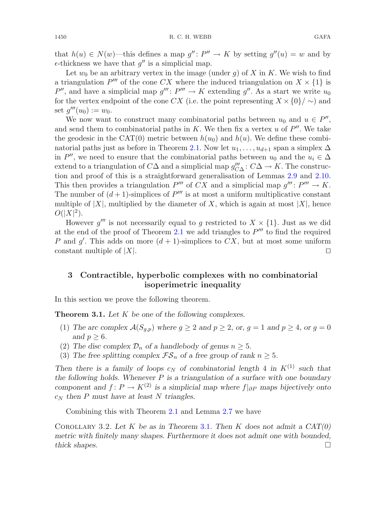that  $h(u) \in N(w)$ —this defines a map  $g'' : P'' \to K$  by setting  $g''(u) = w$  and by  $\epsilon$ -thickness we have that  $g''$  is a simplicial map.

Let  $w_0$  be an arbitrary vertex in the image (under q) of X in K. We wish to find a triangulation P''' of the cone CX where the induced triangulation on  $X \times \{1\}$  is P'', and have a simplicial map  $g''' : P''' \to K$  extending  $g''$ . As a start we write  $u_0$ for the vertex endpoint of the cone CX (i.e. the point representing  $X \times \{0\} / \sim$ ) and set  $q'''(u_0) := w_0$ .

We now want to construct many combinatorial paths between  $u_0$  and  $u \in P''$ , and send them to combinatorial paths in K. We then fix a vertex u of  $P''$ . We take the geodesic in the CAT(0) metric between  $h(u_0)$  and  $h(u)$ . We define these combi-natorial paths just as before in Theorem [2.1.](#page-3-0) Now let  $u_1, \ldots, u_{d+1}$  span a simplex  $\Delta$ in P'', we need to ensure that the combinatorial paths between  $u_0$  and the  $u_i \in \Delta$ extend to a triangulation of  $C\Delta$  and a simplicial map  $g''_{C\Delta} : C\Delta \to K$ . The construction and proof of this is a straightforward generalisation of Lemmas [2.9](#page-8-0) and [2.10.](#page-9-0) This then provides a triangulation  $P'''$  of CX and a simplicial map  $q''' : P''' \to K$ . The number of  $(d+1)$ -simplices of  $P'''$  is at most a uniform multiplicative constant multiple of  $|X|$ , multiplied by the diameter of X, which is again at most  $|X|$ , hence  $O(|X|^2)$ .

However g''' is not necessarily equal to g restricted to  $X \times \{1\}$ . Just as we did at the end of the proof of Theorem [2.1](#page-3-0) we add triangles to  $P'''$  to find the required P and  $g'$ . This adds on more  $(d+1)$ -simplices to  $CX$ , but at most some uniform constant multiple of  $|X|$ .  $\Box$ 

## <span id="page-11-0"></span>**3 Contractible, hyperbolic complexes with no combinatorial isoperimetric inequality**

<span id="page-11-1"></span>In this section we prove the following theorem.

**Theorem 3.1.** *Let* K *be one of the following complexes.*

- (1) *The arc complex*  $\mathcal{A}(S_{q,p})$  *where*  $g \geq 2$  *and*  $p \geq 2$ *, or,*  $g = 1$  *and*  $p \geq 4$ *, or*  $g = 0$ *and*  $p \geq 6$ *.*
- (2) The disc complex  $\mathcal{D}_n$  of a handlebody of genus  $n \geq 5$ .
- (3) The free splitting complex  $\mathcal{FS}_n$  of a free group of rank  $n \geq 5$ .

*Then there is a family of loops*  $c_N$  *of combinatorial length* 4 *in*  $K^{(1)}$  *such that the following holds. Whenever* P *is a triangulation of a surface with one boundary component and*  $f: P \to K^{(2)}$  *is a simplicial map where*  $f|_{\partial P}$  *maps bijectively onto*  $c_N$  then P must have at least N triangles.

Combining this with Theorem [2.1](#page-3-0) and Lemma [2.7](#page-6-0) we have

Corollary 3.2. *Let* K *be as in Theorem* [3.1](#page-11-1)*. Then* K *does not admit a CAT(0) metric with finitely many shapes. Furthermore it does not admit one with bounded, thick shapes.* -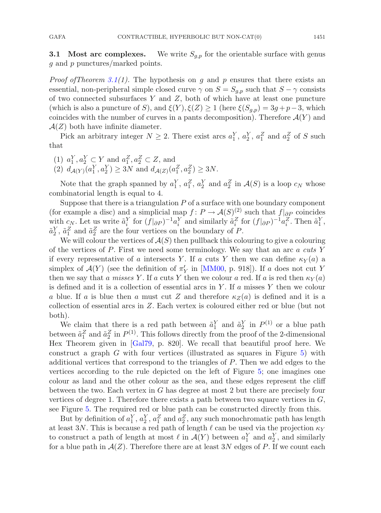**3.1 Most arc complexes.** We write  $S_{q,p}$  for the orientable surface with genus g and p punctures/marked points.

*Proof ofTheorem [3.1\(](#page-11-1)1).* The hypothesis on g and p ensures that there exists an essential, non-peripheral simple closed curve  $\gamma$  on  $S = S_{q,p}$  such that  $S - \gamma$  consists of two connected subsurfaces  $Y$  and  $Z$ , both of which have at least one puncture (which is also a puncture of S), and  $\xi(Y)$ ,  $\xi(Z) \geq 1$  (here  $\xi(S_{q,p})=3g+p-3$ , which coincides with the number of curves in a pants decomposition). Therefore  $\mathcal{A}(Y)$  and  $\mathcal{A}(Z)$  both have infinite diameter.

Pick an arbitrary integer  $N \geq 2$ . There exist arcs  $a_1^Y$ ,  $a_2^Y$ ,  $a_1^Z$  and  $a_2^Z$  of S such that

 $(1)$   $a_1^Y, a_2^Y \subset Y$  and  $a_1^Z, a_2^Z \subset Z$ , and (2)  $d_{\mathcal{A}(Y)}(a_1^Y, a_2^Y) \ge 3N$  and  $d_{\mathcal{A}(Z)}(a_1^Z, a_2^Z) \ge 3N$ .

Note that the graph spanned by  $a_1^Y$ ,  $a_2^Z$ ,  $a_2^Y$  and  $a_2^Z$  in  $\mathcal{A}(S)$  is a loop  $c_N$  whose combinatorial length is equal to 4.

Suppose that there is a triangulation  $P$  of a surface with one boundary component (for example a disc) and a simplicial map  $f: P \to \mathcal{A}(S)^{(2)}$  such that  $f|_{\partial P}$  coincides with  $c_N$ . Let us write  $\tilde{a}_i^Y$  for  $(f|_{\partial P})^{-1}a_i^Y$  and similarly  $\tilde{a}_i^Z$  for  $(f|_{\partial P})^{-1}a_i^Z$ . Then  $\tilde{a}_1^Y$ ,  $\tilde{a}_2^Y$ ,  $\tilde{a}_1^Z$  and  $\tilde{a}_2^Z$  are the four vertices on the boundary of P.

We will colour the vertices of  $A(S)$  then pullback this colouring to give a colouring of the vertices of P. First we need some terminology. We say that an arc a *cuts* Y if every representative of a intersects Y. If a cuts Y then we can define  $\kappa_Y(a)$  a simplex of  $\mathcal{A}(Y)$  (see the definition of  $\pi'_Y$  in [\[MM00](#page-23-14), p. 918]). If a does not cut Y then we say that a *misses* Y. If a cuts Y then we colour a red. If a is red then  $\kappa_Y(a)$ is defined and it is a collection of essential arcs in Y. If  $a$  misses Y then we colour a blue. If a is blue then a must cut Z and therefore  $\kappa_Z(a)$  is defined and it is a collection of essential arcs in Z. Each vertex is coloured either red or blue (but not both).

We claim that there is a red path between  $\tilde{a}_1^Y$  and  $\tilde{a}_2^Y$  in  $P^{(1)}$  or a blue path between  $\tilde{a}_1^Z$  and  $\tilde{a}_2^Z$  in  $P^{(1)}$ . This follows directly from the proof of the 2-dimensional Hex Theorem given in [\[Gal79](#page-23-18), p. 820]. We recall that beautiful proof here. We construct a graph  $G$  with four vertices (illustrated as squares in Figure [5\)](#page-13-0) with additional vertices that correspond to the triangles of P. Then we add edges to the vertices according to the rule depicted on the left of Figure [5;](#page-13-0) one imagines one colour as land and the other colour as the sea, and these edges represent the cliff between the two. Each vertex in G has degree at most 2 but there are precisely four vertices of degree 1. Therefore there exists a path between two square vertices in  $G$ , see Figure [5.](#page-13-0) The required red or blue path can be constructed directly from this.

But by definition of  $a_1^Y$ ,  $a_2^Y$ ,  $a_1^Z$  and  $a_2^Z$ , any such monochromatic path has length at least 3N. This is because a red path of length  $\ell$  can be used via the projection  $\kappa_Y$ to construct a path of length at most  $\ell$  in  $\mathcal{A}(Y)$  between  $a_1^Y$  and  $a_2^Y$ , and similarly for a blue path in  $\mathcal{A}(Z)$ . Therefore there are at least 3N edges of P. If we count each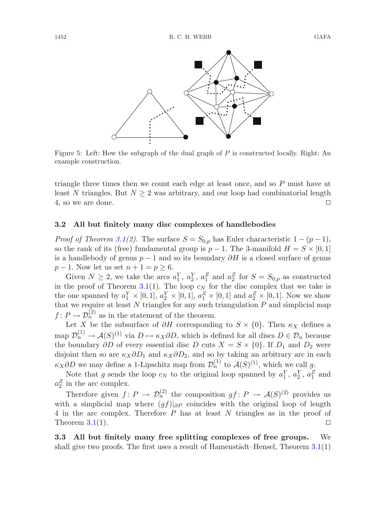

<span id="page-13-0"></span>Figure 5: Left: How the subgraph of the dual graph of P is constructed locally. Right: An example construction.

triangle three times then we count each edge at least once, and so P must have at least N triangles. But  $N \geq 2$  was arbitrary, and our loop had combinatorial length 4, so we are done.  $\Box$ 

#### **3.2 All but finitely many disc complexes of handlebodies**

*Proof of Theorem [3.1\(](#page-11-1)2).* The surface  $S = S_{0,p}$  has Euler characteristic  $1 - (p - 1)$ , so the rank of its (free) fundamental group is  $p-1$ . The 3-manifold  $H = S \times [0,1]$ is a handlebody of genus  $p-1$  and so its boundary  $\partial H$  is a closed surface of genus  $p-1$ . Now let us set  $n+1=p\geq 6$ .

Given  $N \geq 2$ , we take the arcs  $a_1^Y$ ,  $a_2^Y$ ,  $a_1^Z$  and  $a_2^Z$  for  $S = S_{0,p}$  as constructed in the proof of Theorem [3.1\(](#page-11-1)1). The loop  $c_N$  for the disc complex that we take is the one spanned by  $a_1^Y \times [0,1], a_2^Y \times [0,1], a_1^Z \times [0,1]$  and  $a_2^Z \times [0,1]$ . Now we show that we require at least  $N$  triangles for any such triangulation  $P$  and simplicial map  $f: P \to \mathcal{D}_n^{(2)}$  as in the statement of the theorem.

Let X be the subsurface of  $\partial H$  corresponding to  $S \times \{0\}$ . Then  $\kappa_X$  defines a map  $\mathcal{D}_n^{(1)} \to \mathcal{A}(S)^{(1)}$  via  $D \mapsto \kappa_X \partial D$ , which is defined for all discs  $D \in \mathcal{D}_n$  because the boundary  $\partial D$  of every essential disc D cuts  $X = S \times \{0\}$ . If  $D_1$  and  $D_2$  were disjoint then so are  $\kappa_X \partial D_1$  and  $\kappa_X \partial D_2$ , and so by taking an arbitrary arc in each  $\kappa_X \partial D$  we may define a 1-Lipschitz map from  $\mathcal{D}_n^{(1)}$  to  $\mathcal{A}(S)^{(1)}$ , which we call g.

Note that g sends the loop  $c_N$  to the original loop spanned by  $a_1^Y, a_2^Y, a_1^Z$  and  $a_2^Z$  in the arc complex.

Therefore given  $f: P \to \mathcal{D}_n^{(2)}$  the composition  $gf: P \to \mathcal{A}(S)^{(2)}$  provides us with a simplicial map where  $(gf)|_{\partial P}$  coincides with the original loop of length 4 in the arc complex. Therefore P has at least N triangles as in the proof of Theorem  $3.1(1)$  $3.1(1)$ .  $\Box$ 

**3.3 All but finitely many free splitting complexes of free groups.** We shall give two proofs. The first uses a result of Hamenstädt–Hensel, Theorem  $3.1(1)$  $3.1(1)$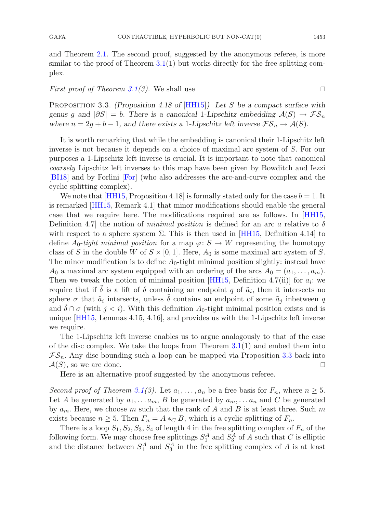and Theorem [2.1.](#page-3-0) The second proof, suggested by the anonymous referee, is more similar to the proof of Theorem  $3.1(1)$  $3.1(1)$  but works directly for the free splitting complex.

## <span id="page-14-0"></span>*First proof of Theorem [3.1\(](#page-11-1)3).* We shall use

Proposition 3.3. *(Proposition 4.18 of* [\[HH15\]](#page-23-19)*) Let* S *be a compact surface with genus g and*  $|\partial S| = b$ . There is a canonical 1*-Lipschitz embedding*  $\mathcal{A}(S) \to \mathcal{FS}_n$ *where*  $n = 2g + b - 1$ *, and there exists a 1-Lipschitz left inverse*  $\mathcal{FS}_n \to \mathcal{A}(S)$ *.* 

It is worth remarking that while the embedding is canonical their 1-Lipschitz left inverse is not because it depends on a choice of maximal arc system of S. For our purposes a 1-Lipschitz left inverse is crucial. It is important to note that canonical *coarsely* Lipschitz left inverses to this map have been given by Bowditch and Iezzi [\[BI18](#page-22-12)] and by Forlini [\[For](#page-22-13)] (who also addresses the arc-and-curve complex and the cyclic splitting complex).

We note that  $[HH15,$  Proposition 4.18 is formally stated only for the case  $b = 1$ . It is remarked [\[HH15](#page-23-19), Remark 4.1] that minor modifications should enable the general case that we require here. The modifications required are as follows. In [\[HH15](#page-23-19), Definition 4.7 the notion of *minimal position* is defined for an arc a relative to  $\delta$ with respect to a sphere system  $\Sigma$ . This is then used in [\[HH15](#page-23-19), Definition 4.14] to define  $A_0$ -tight minimal position for a map  $\varphi: S \to W$  representing the homotopy class of S in the double W of  $S \times [0, 1]$ . Here,  $A_0$  is some maximal arc system of S. The minor modification is to define  $A_0$ -tight minimal position slightly: instead have  $A_0$  a maximal arc system equipped with an ordering of the arcs  $A_0 = (a_1, \ldots, a_m)$ . Then we tweak the notion of minimal position [\[HH15](#page-23-19), Definition 4.7(ii)] for  $a_i$ : we require that if  $\tilde{\delta}$  is a lift of  $\delta$  containing an endpoint q of  $\tilde{a}_i$ , then it intersects no sphere  $\sigma$  that  $\tilde{a}_i$  intersects, unless  $\delta$  contains an endpoint of some  $\tilde{a}_j$  inbetween q and  $\delta \cap \sigma$  (with  $j < i$ ). With this definition  $A_0$ -tight minimal position exists and is unique [\[HH15](#page-23-19), Lemmas 4.15, 4.16], and provides us with the 1-Lipschitz left inverse we require.

The 1-Lipschitz left inverse enables us to argue analogously to that of the case of the disc complex. We take the loops from Theorem  $3.1(1)$  $3.1(1)$  and embed them into  $\mathcal{FS}_n$ . Any disc bounding such a loop can be mapped via Proposition [3.3](#page-14-0) back into  $\mathcal{A}(S)$ , so we are done.  $\Box$ 

Here is an alternative proof suggested by the anonymous referee.

*Second proof of Theorem [3.1\(](#page-11-1)3).* Let  $a_1, \ldots, a_n$  be a free basis for  $F_n$ , where  $n \geq 5$ . Let A be generated by  $a_1, \ldots a_m$ , B be generated by  $a_m, \ldots a_n$  and C be generated by  $a_m$ . Here, we choose m such that the rank of A and B is at least three. Such m exists because  $n \geq 5$ . Then  $F_n = A *_{C} B$ , which is a cyclic splitting of  $F_n$ .

There is a loop  $S_1, S_2, S_3, S_4$  of length 4 in the free splitting complex of  $F_n$  of the following form. We may choose free splittings  $S_1^A$  and  $S_3^A$  of A such that C is elliptic and the distance between  $S_1^A$  and  $S_3^A$  in the free splitting complex of A is at least

 $\Box$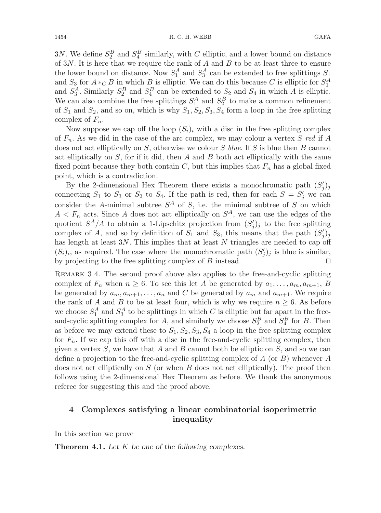3N. We define  $S_2^B$  and  $S_4^B$  similarly, with C elliptic, and a lower bound on distance of  $3N$ . It is here that we require the rank of  $A$  and  $B$  to be at least three to ensure the lower bound on distance. Now  $S_1^A$  and  $S_3^A$  can be extended to free splittings  $S_1$ and  $S_3$  for  $A *_{C} B$  in which B is elliptic. We can do this because C is elliptic for  $S_1^A$ and  $S_3^A$ . Similarly  $S_2^B$  and  $S_4^B$  can be extended to  $S_2$  and  $S_4$  in which A is elliptic. We can also combine the free splittings  $S_1^A$  and  $S_2^B$  to make a common refinement of  $S_1$  and  $S_2$ , and so on, which is why  $S_1, S_2, S_3, S_4$  form a loop in the free splitting complex of  $F_n$ .

Now suppose we cap off the loop  $(S_i)_i$  with a disc in the free splitting complex of Fn. As we did in the case of the arc complex, we may colour a vertex S *red* if A does not act elliptically on S, otherwise we colour S *blue*. If S is blue then B cannot act elliptically on  $S$ , for if it did, then  $A$  and  $B$  both act elliptically with the same fixed point because they both contain  $C$ , but this implies that  $F_n$  has a global fixed point, which is a contradiction.

By the 2-dimensional Hex Theorem there exists a monochromatic path  $(S'_j)_j$ connecting  $S_1$  to  $S_3$  or  $S_2$  to  $S_4$ . If the path is red, then for each  $S = S'_j$  we can consider the A-minimal subtree  $S^A$  of S, i.e. the minimal subtree of S on which  $A < F_n$  acts. Since A does not act elliptically on  $S^A$ , we can use the edges of the quotient  $S^A/A$  to obtain a 1-Lipschitz projection from  $(S'_j)_j$  to the free splitting complex of A, and so by definition of  $S_1$  and  $S_3$ , this means that the path  $(S'_j)_j$ has length at least  $3N$ . This implies that at least N triangles are needed to cap off  $(S_i)_i$ , as required. The case where the monochromatic path  $(S'_j)_j$  is blue is similar, by projecting to the free splitting complex of B instead.  $\Box$ 

<span id="page-15-1"></span>REMARK 3.4. The second proof above also applies to the free-and-cyclic splitting complex of  $F_n$  when  $n \geq 6$ . To see this let A be generated by  $a_1, \ldots, a_m, a_{m+1}, B$ be generated by  $a_m, a_{m+1},...,a_n$  and C be generated by  $a_m$  and  $a_{m+1}$ . We require the rank of A and B to be at least four, which is why we require  $n \geq 6$ . As before we choose  $S_1^A$  and  $S_3^A$  to be splittings in which C is elliptic but far apart in the freeand-cyclic splitting complex for A, and similarly we choose  $S_2^B$  and  $S_4^B$  for B. Then as before we may extend these to  $S_1, S_2, S_3, S_4$  a loop in the free splitting complex for  $F_n$ . If we cap this off with a disc in the free-and-cyclic splitting complex, then given a vertex  $S$ , we have that  $A$  and  $B$  cannot both be elliptic on  $S$ , and so we can define a projection to the free-and-cyclic splitting complex of A (or B) whenever A does not act elliptically on  $S$  (or when  $B$  does not act elliptically). The proof then follows using the 2-dimensional Hex Theorem as before. We thank the anonymous referee for suggesting this and the proof above.

## <span id="page-15-0"></span>**4 Complexes satisfying a linear combinatorial isoperimetric inequality**

<span id="page-15-2"></span>In this section we prove

**Theorem 4.1.** *Let* K *be one of the following complexes.*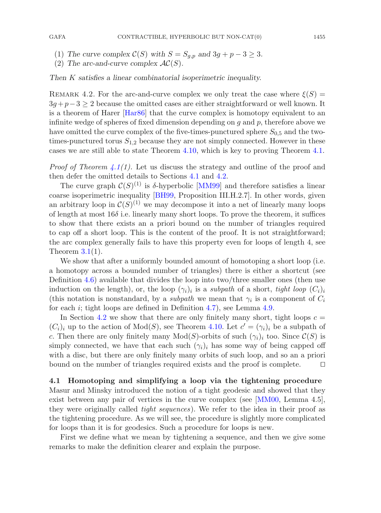- (1) *The curve complex*  $C(S)$  *with*  $S = S_{q,p}$  *and*  $3g + p 3 \ge 3$ *.*
- (2) The arc-and-curve complex  $AC(S)$ .

#### *Then* K *satisfies a linear combinatorial isoperimetric inequality.*

REMARK 4.2. For the arc-and-curve complex we only treat the case where  $\xi(S)$  =  $3q+p-3 \geq 2$  because the omitted cases are either straightforward or well known. It is a theorem of Harer [\[Har86](#page-23-11)] that the curve complex is homotopy equivalent to an infinite wedge of spheres of fixed dimension depending on  $g$  and  $p$ , therefore above we have omitted the curve complex of the five-times-punctured sphere  $S_{0.5}$  and the twotimes-punctured torus  $S_{1,2}$  because they are not simply connected. However in these cases we are still able to state Theorem [4.10,](#page-20-0) which is key to proving Theorem [4.1.](#page-15-2)

*Proof of Theorem [4.1\(](#page-15-2)1).* Let us discuss the strategy and outline of the proof and then defer the omitted details to Sections [4.1](#page-16-0) and [4.2.](#page-20-1)

The curve graph  $\mathcal{C}(S)^{(1)}$  is  $\delta$ -hyperbolic [\[MM99\]](#page-23-13) and therefore satisfies a linear coarse isoperimetric inequality [\[BH99,](#page-22-0) Proposition III.H.2.7]. In other words, given an arbitrary loop in  $\mathcal{C}(S)^{(1)}$  we may decompose it into a net of linearly many loops of length at most  $16\delta$  i.e. linearly many short loops. To prove the theorem, it suffices to show that there exists an a priori bound on the number of triangles required to cap off a short loop. This is the content of the proof. It is not straightforward; the arc complex generally fails to have this property even for loops of length 4, see Theorem  $3.1(1)$  $3.1(1)$ .

We show that after a uniformly bounded amount of homotoping a short loop (i.e. a homotopy across a bounded number of triangles) there is either a shortcut (see Definition [4.6\)](#page-18-0) available that divides the loop into two/three smaller ones (then use induction on the length), or, the loop  $(\gamma_i)_i$  is a *subpath* of a short, *tight loop*  $(C_i)_i$ (this notation is nonstandard, by a *subpath* we mean that  $\gamma_i$  is a component of  $C_i$ for each i; tight loops are defined in Definition [4.7\)](#page-18-1), see Lemma [4.9.](#page-19-0)

In Section [4.2](#page-20-1) we show that there are only finitely many short, tight loops  $c =$  $(C_i)_i$  up to the action of  $Mod(S)$ , see Theorem [4.10.](#page-20-0) Let  $c' = (\gamma_i)_i$  be a subpath of c. Then there are only finitely many  $Mod(S)$ -orbits of such  $(\gamma_i)_i$  too. Since  $\mathcal{C}(S)$  is simply connected, we have that each such  $(\gamma_i)_i$  has some way of being capped off with a disc, but there are only finitely many orbits of such loop, and so an a priori bound on the number of triangles required exists and the proof is complete.  $\Box$ 

## <span id="page-16-0"></span>**4.1 Homotoping and simplifying a loop via the tightening procedure**

Masur and Minsky introduced the notion of a tight geodesic and showed that they exist between any pair of vertices in the curve complex (see [\[MM00](#page-23-14), Lemma 4.5], they were originally called *tight sequences*). We refer to the idea in their proof as the tightening procedure. As we will see, the procedure is slightly more complicated for loops than it is for geodesics. Such a procedure for loops is new.

First we define what we mean by tightening a sequence, and then we give some remarks to make the definition clearer and explain the purpose.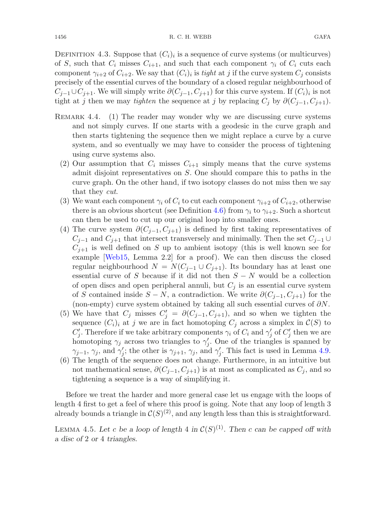DEFINITION 4.3. Suppose that  $(C_i)_i$  is a sequence of curve systems (or multicurves) of S, such that  $C_i$  misses  $C_{i+1}$ , and such that each component  $\gamma_i$  of  $C_i$  cuts each component  $\gamma_{i+2}$  of  $C_{i+2}$ . We say that  $(C_i)_i$  is *tight* at j if the curve system  $C_i$  consists precisely of the essential curves of the boundary of a closed regular neighbourhood of  $C_{j-1}\cup C_{j+1}$ . We will simply write  $\partial(C_{j-1}, C_{j+1})$  for this curve system. If  $(C_i)_i$  is not tight at j then we may *tighten* the sequence at j by replacing  $C_i$  by  $\partial (C_{j-1}, C_{j+1})$ .

- <span id="page-17-0"></span>REMARK  $4.4.$  (1) The reader may wonder why we are discussing curve systems and not simply curves. If one starts with a geodesic in the curve graph and then starts tightening the sequence then we might replace a curve by a curve system, and so eventually we may have to consider the process of tightening using curve systems also.
	- (2) Our assumption that  $C_i$  misses  $C_{i+1}$  simply means that the curve systems admit disjoint representatives on S. One should compare this to paths in the curve graph. On the other hand, if two isotopy classes do not miss then we say that they *cut*.
	- (3) We want each component  $\gamma_i$  of  $C_i$  to cut each component  $\gamma_{i+2}$  of  $C_{i+2}$ , otherwise there is an obvious shortcut (see Definition [4.6\)](#page-18-0) from  $\gamma_i$  to  $\gamma_{i+2}$ . Such a shortcut can then be used to cut up our original loop into smaller ones.
	- (4) The curve system  $\partial (C_{j-1}, C_{j+1})$  is defined by first taking representatives of  $C_{j-1}$  and  $C_{j+1}$  that intersect transversely and minimally. Then the set  $C_{j-1} \cup$  $C_{j+1}$  is well defined on S up to ambient isotopy (this is well known see for example [\[Web15](#page-23-20), Lemma 2.2] for a proof). We can then discuss the closed regular neighbourhood  $N = N(C_{j-1} \cup C_{j+1})$ . Its boundary has at least one essential curve of S because if it did not then  $S - N$  would be a collection of open discs and open peripheral annuli, but  $C_j$  is an essential curve system of S contained inside  $S - N$ , a contradiction. We write  $\partial (C_{i-1}, C_{i+1})$  for the (non-empty) curve system obtained by taking all such essential curves of  $\partial N$ .
	- (5) We have that  $C_j$  misses  $C'_j = \partial(C_{j-1}, C_{j+1})$ , and so when we tighten the sequence  $(C_i)_i$  at j we are in fact homotoping  $C_j$  across a simplex in  $\mathcal{C}(S)$  to  $C'_j$ . Therefore if we take arbitrary components  $\gamma_i$  of  $C_i$  and  $\gamma'_j$  of  $C'_j$  then we are homotoping  $\gamma_j$  across two triangles to  $\gamma'_j$ . One of the triangles is spanned by  $\gamma_{j-1}, \gamma_j$ , and  $\gamma'_j$ ; the other is  $\gamma_{j+1}, \gamma_j$ , and  $\gamma'_j$ . This fact is used in Lemma [4.9.](#page-19-0)
	- (6) The length of the sequence does not change. Furthermore, in an intuitive but not mathematical sense,  $\partial (C_{j-1}, C_{j+1})$  is at most as complicated as  $C_j$ , and so tightening a sequence is a way of simplifying it.

Before we treat the harder and more general case let us engage with the loops of length 4 first to get a feel of where this proof is going. Note that any loop of length 3 already bounds a triangle in  $\mathcal{C}(S)^{(2)}$ , and any length less than this is straightforward.

LEMMA 4.5. Let c be a loop of length 4 in  $C(S)^{(1)}$ . Then c can be capped off with *a disc of* 2 *or* 4 *triangles.*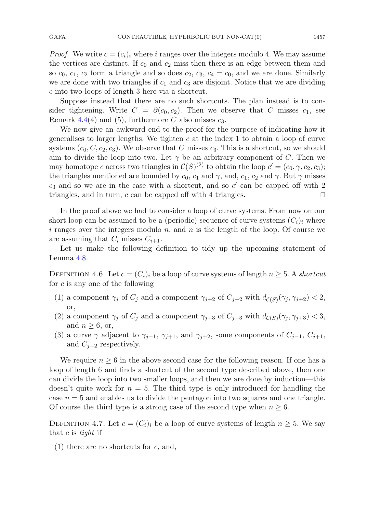*Proof.* We write  $c = (c_i)_i$  where i ranges over the integers modulo 4. We may assume the vertices are distinct. If  $c_0$  and  $c_2$  miss then there is an edge between them and so  $c_0$ ,  $c_1$ ,  $c_2$  form a triangle and so does  $c_2$ ,  $c_3$ ,  $c_4 = c_0$ , and we are done. Similarly we are done with two triangles if  $c_1$  and  $c_3$  are disjoint. Notice that we are dividing c into two loops of length 3 here via a shortcut.

Suppose instead that there are no such shortcuts. The plan instead is to consider tightening. Write  $C = \partial(c_0, c_2)$ . Then we observe that C misses  $c_1$ , see Remark [4.4\(](#page-17-0)4) and (5), furthermore C also misses  $c_3$ .

We now give an awkward end to the proof for the purpose of indicating how it generalises to larger lengths. We tighten  $c$  at the index 1 to obtain a loop of curve systems  $(c_0, C, c_2, c_3)$ . We observe that C misses  $c_3$ . This is a shortcut, so we should aim to divide the loop into two. Let  $\gamma$  be an arbitrary component of C. Then we may homotope c across two triangles in  $\mathcal{C}(S)^{(2)}$  to obtain the loop  $c' = (c_0, \gamma, c_2, c_3);$ the triangles mentioned are bounded by  $c_0$ ,  $c_1$  and  $\gamma$ , and,  $c_1$ ,  $c_2$  and  $\gamma$ . But  $\gamma$  misses  $c_3$  and so we are in the case with a shortcut, and so  $c'$  can be capped off with 2 triangles, and in turn, c can be capped off with 4 triangles.  $\Box$ 

In the proof above we had to consider a loop of curve systems. From now on our short loop can be assumed to be a (periodic) sequence of curve systems  $(C_i)_i$  where i ranges over the integers modulo n, and n is the length of the loop. Of course we are assuming that  $C_i$  misses  $C_{i+1}$ .

<span id="page-18-0"></span>Let us make the following definition to tidy up the upcoming statement of Lemma [4.8.](#page-19-1)

DEFINITION 4.6. Let  $c = (C_i)_i$  be a loop of curve systems of length  $n \geq 5$ . A *shortcut* for c is any one of the following

- (1) a component  $\gamma_j$  of  $C_j$  and a component  $\gamma_{j+2}$  of  $C_{j+2}$  with  $d_{\mathcal{C}(S)}(\gamma_j, \gamma_{j+2}) < 2$ , or,
- (2) a component  $\gamma_j$  of  $C_j$  and a component  $\gamma_{j+3}$  of  $C_{j+3}$  with  $d_{\mathcal{C}(S)}(\gamma_j, \gamma_{j+3}) < 3$ , and  $n \geq 6$ , or,
- (3) a curve  $\gamma$  adjacent to  $\gamma_{j-1}, \gamma_{j+1}$ , and  $\gamma_{j+2}$ , some components of  $C_{j-1}, C_{j+1}$ , and  $C_{i+2}$  respectively.

We require  $n \geq 6$  in the above second case for the following reason. If one has a loop of length 6 and finds a shortcut of the second type described above, then one can divide the loop into two smaller loops, and then we are done by induction—this doesn't quite work for  $n = 5$ . The third type is only introduced for handling the case  $n = 5$  and enables us to divide the pentagon into two squares and one triangle. Of course the third type is a strong case of the second type when  $n \geq 6$ .

<span id="page-18-1"></span>DEFINITION 4.7. Let  $c = (C_i)_i$  be a loop of curve systems of length  $n \geq 5$ . We say that c is *tight* if

(1) there are no shortcuts for c, and,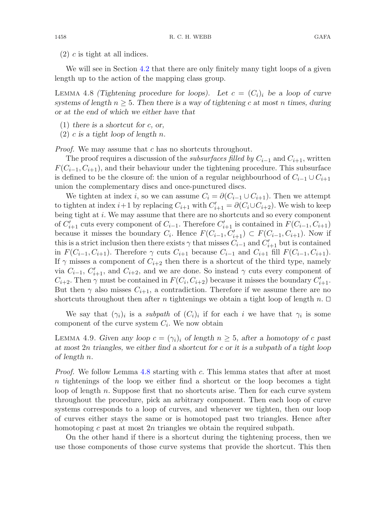<span id="page-19-1"></span>We will see in Section [4.2](#page-20-1) that there are only finitely many tight loops of a given length up to the action of the mapping class group.

LEMMA 4.8 *(Tightening procedure for loops).* Let  $c = (C_i)_i$  be a loop of curve *systems of length*  $n \geq 5$ . Then there is a way of tightening c at most n times, during *or at the end of which we either have that*

- (1) *there is a shortcut for* c*, or,*
- (2) c *is a tight loop of length* n*.*

*Proof.* We may assume that c has no shortcuts throughout.

The proof requires a discussion of the *subsurfaces filled by*  $C_{i-1}$  and  $C_{i+1}$ , written  $F(C_{i-1}, C_{i+1})$ , and their behaviour under the tightening procedure. This subsurface is defined to be the closure of: the union of a regular neighbourhood of  $C_{i-1} \cup C_{i+1}$ union the complementary discs and once-punctured discs.

We tighten at index i, so we can assume  $C_i = \partial(C_{i-1} \cup C_{i+1})$ . Then we attempt to tighten at index  $i+1$  by replacing  $C_{i+1}$  with  $C'_{i+1} = \partial(C_i \cup C_{i+2})$ . We wish to keep being tight at *i*. We may assume that there are no shortcuts and so every component of  $C'_{i+1}$  cuts every component of  $C_{i-1}$ . Therefore  $C'_{i+1}$  is contained in  $F(C_{i-1}, C_{i+1})$ because it misses the boundary  $C_i$ . Hence  $F(C_{i-1}, C'_{i+1}) \subset F(C_{i-1}, C_{i+1})$ . Now if this is a strict inclusion then there exists  $\gamma$  that misses  $C_{i-1}$  and  $C'_{i+1}$  but is contained in  $F(C_{i-1}, C_{i+1})$ . Therefore  $\gamma$  cuts  $C_{i+1}$  because  $C_{i-1}$  and  $C_{i+1}$  fill  $F(C_{i-1}, C_{i+1})$ . If  $\gamma$  misses a component of  $C_{i+2}$  then there is a shortcut of the third type, namely via  $C_{i-1}$ ,  $C'_{i+1}$ , and  $C_{i+2}$ , and we are done. So instead  $\gamma$  cuts every component of  $C_{i+2}$ . Then  $\gamma$  must be contained in  $F(C_i, C_{i+2})$  because it misses the boundary  $C'_{i+1}$ . But then  $\gamma$  also misses  $C_{i+1}$ , a contradiction. Therefore if we assume there are no shortcuts throughout then after *n* tightenings we obtain a tight loop of length *n*.  $\Box$ 

<span id="page-19-0"></span>We say that  $(\gamma_i)_i$  is a *subpath* of  $(C_i)_i$  if for each i we have that  $\gamma_i$  is some component of the curve system  $C_i$ . We now obtain

LEMMA 4.9. *Given any loop*  $c = (\gamma_i)_i$  *of length*  $n \geq 5$ *, after a homotopy of c past at most* 2n *triangles, we either find a shortcut for* c *or it is a subpath of a tight loop of length* n*.*

*Proof.* We follow Lemma [4.8](#page-19-1) starting with c. This lemma states that after at most n tightenings of the loop we either find a shortcut or the loop becomes a tight loop of length n. Suppose first that no shortcuts arise. Then for each curve system throughout the procedure, pick an arbitrary component. Then each loop of curve systems corresponds to a loop of curves, and whenever we tighten, then our loop of curves either stays the same or is homotoped past two triangles. Hence after homotoping c past at most  $2n$  triangles we obtain the required subpath.

On the other hand if there is a shortcut during the tightening process, then we use those components of those curve systems that provide the shortcut. This then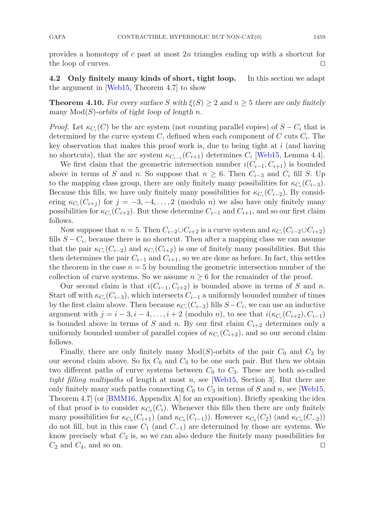provides a homotopy of  $c$  past at most  $2n$  triangles ending up with a shortcut for the loop of curves.  $\Box$ 

<span id="page-20-1"></span><span id="page-20-0"></span>**4.2 Only finitely many kinds of short, tight loop.** In this section we adapt the argument in [\[Web15](#page-23-20), Theorem 4.7] to show

**Theorem 4.10.** For every surface S with  $\xi(S) \geq 2$  and  $n \geq 5$  there are only finitely *many*  $Mod(S)$ -orbits of tight loop of length n.

*Proof.* Let  $\kappa_{C_i}(C)$  be the arc system (not counting parallel copies) of  $S - C_i$  that is determined by the curve system  $C$ , defined when each component of  $C$  cuts  $C_i$ . The key observation that makes this proof work is, due to being tight at  $i$  (and having no shortcuts), that the arc system  $\kappa_{C_{i-1}}(C_{i+1})$  determines  $C_i$  [\[Web15](#page-23-20), Lemma 4.4].

We first claim that the geometric intersection number  $i(C_{i-1}, C_{i+1})$  is bounded above in terms of S and n. So suppose that  $n \geq 6$ . Then  $C_{i-3}$  and  $C_i$  fill S. Up to the mapping class group, there are only finitely many possibilities for  $\kappa_{C_i}(C_{i-3})$ . Because this fills, we have only finitely many possibilities for  $\kappa_{C_i}(C_{i-2})$ . By considering  $\kappa_{C_i}(C_{i+j})$  for  $j = -3, -4, \ldots, 2$  (modulo *n*) we also have only finitely many possibilities for  $\kappa_{C_i}(C_{i+2})$ . But these determine  $C_{i-1}$  and  $C_{i+1}$ , and so our first claim follows.

Now suppose that  $n = 5$ . Then  $C_{i-2} \cup C_{i+2}$  is a curve system and  $\kappa_{C_i}(C_{i-2} \cup C_{i+2})$ fills  $S - C_i$ , because there is no shortcut. Then after a mapping class we can assume that the pair  $\kappa_{C_i}(C_{i-2})$  and  $\kappa_{C_i}(C_{i+2})$  is one of finitely many possibilities. But this then determines the pair  $C_{i-1}$  and  $C_{i+1}$ , so we are done as before. In fact, this settles the theorem in the case  $n = 5$  by bounding the geometric intersection number of the collection of curve systems. So we assume  $n \geq 6$  for the remainder of the proof.

Our second claim is that  $i(C_{i-1}, C_{i+2})$  is bounded above in terms of S and n. Start off with  $\kappa_{C_i}(C_{i-3})$ , which intersects  $C_{i-1}$  a uniformly bounded number of times by the first claim above. Then because  $\kappa_{C_i}(C_{i-3})$  fills  $S-C_i$ , we can use an inductive argument with  $j = i - 3, i - 4, \ldots, i + 2$  (modulo *n*), to see that  $i(\kappa_{C_i}(C_{i+2}), C_{i-1})$ is bounded above in terms of S and n. By our first claim  $C_{i+2}$  determines only a uniformly bounded number of parallel copies of  $\kappa_{C_i}(C_{i+2})$ , and so our second claim follows.

Finally, there are only finitely many  $Mod(S)$ -orbits of the pair  $C_0$  and  $C_3$  by our second claim above. So fix  $C_0$  and  $C_3$  to be one such pair. But then we obtain two different paths of curve systems between  $C_0$  to  $C_3$ . These are both so-called *tight filling multipaths* of length at most n, see [\[Web15](#page-23-20), Section 3]. But there are only finitely many such paths connecting  $C_0$  to  $C_3$  in terms of S and n, see [\[Web15](#page-23-20), Theorem 4.7] (or [\[BMM16,](#page-22-14) Appendix A] for an exposition). Briefly speaking the idea of that proof is to consider  $\kappa_{C_0}(C_i)$ . Whenever this fills then there are only finitely many possibilities for  $\kappa_{C_0}(C_{i+1})$  (and  $\kappa_{C_0}(C_{i-1})$ ). However  $\kappa_{C_0}(C_2)$  (and  $\kappa_{C_0}(C_{-2})$ ) do not fill, but in this case  $C_1$  (and  $C_{-1}$ ) are determined by those arc systems. We know precisely what  $C_3$  is, so we can also deduce the finitely many possibilities for  $C_2$  and  $C_4$ , and so on.  $\Box$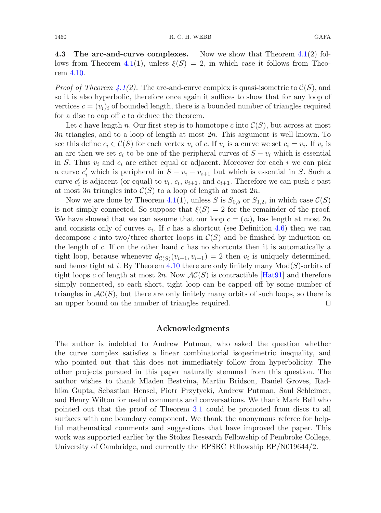**4.3 The arc-and-curve complexes.** Now we show that Theorem [4.1\(](#page-15-2)2) fol-lows from Theorem [4.1\(](#page-15-2)1), unless  $\xi(S) = 2$ , in which case it follows from Theorem [4.10.](#page-20-0)

*Proof of Theorem [4.1\(](#page-15-2)2).* The arc-and-curve complex is quasi-isometric to  $\mathcal{C}(S)$ , and so it is also hyperbolic, therefore once again it suffices to show that for any loop of vertices  $c = (v_i)_i$  of bounded length, there is a bounded number of triangles required for a disc to cap off  $c$  to deduce the theorem.

Let c have length n. Our first step is to homotope c into  $\mathcal{C}(S)$ , but across at most 3n triangles, and to a loop of length at most 2n. This argument is well known. To see this define  $c_i \in \mathcal{C}(S)$  for each vertex  $v_i$  of c. If  $v_i$  is a curve we set  $c_i = v_i$ . If  $v_i$  is an arc then we set  $c_i$  to be one of the peripheral curves of  $S - v_i$  which is essential in S. Thus  $v_i$  and  $c_i$  are either equal or adjacent. Moreover for each i we can pick a curve  $c'_i$  which is peripheral in  $S - v_i - v_{i+1}$  but which is essential in S. Such a curve  $c_i'$  is adjacent (or equal) to  $v_i$ ,  $c_i$ ,  $v_{i+1}$ , and  $c_{i+1}$ . Therefore we can push c past at most 3n triangles into  $C(S)$  to a loop of length at most 2n.

Now we are done by Theorem [4.1\(](#page-15-2)1), unless S is  $S_{0.5}$  or  $S_{1.2}$ , in which case  $\mathcal{C}(S)$ is not simply connected. So suppose that  $\xi(S) = 2$  for the remainder of the proof. We have showed that we can assume that our loop  $c = (v_i)_i$  has length at most  $2n$ and consists only of curves  $v_i$ . If c has a shortcut (see Definition [4.6\)](#page-18-0) then we can decompose c into two/three shorter loops in  $\mathcal{C}(S)$  and be finished by induction on the length of  $c$ . If on the other hand  $c$  has no shortcuts then it is automatically a tight loop, because whenever  $d_{\mathcal{C}(S)}(v_{i-1}, v_{i+1}) = 2$  then  $v_i$  is uniquely determined, and hence tight at i. By Theorem  $4.10$  there are only finitely many  $Mod(S)$ -orbits of tight loops c of length at most  $2n$ . Now  $AC(S)$  is contractible [\[Hat91\]](#page-23-5) and therefore simply connected, so each short, tight loop can be capped off by some number of triangles in  $AC(S)$ , but there are only finitely many orbits of such loops, so there is an upper bound on the number of triangles required.  $\Box$ 

#### **Acknowledgments**

The author is indebted to Andrew Putman, who asked the question whether the curve complex satisfies a linear combinatorial isoperimetric inequality, and who pointed out that this does not immediately follow from hyperbolicity. The other projects pursued in this paper naturally stemmed from this question. The author wishes to thank Mladen Bestvina, Martin Bridson, Daniel Groves, Radhika Gupta, Sebastian Hensel, Piotr Przytycki, Andrew Putman, Saul Schleimer, and Henry Wilton for useful comments and conversations. We thank Mark Bell who pointed out that the proof of Theorem [3.1](#page-11-1) could be promoted from discs to all surfaces with one boundary component. We thank the anonymous referee for helpful mathematical comments and suggestions that have improved the paper. This work was supported earlier by the Stokes Research Fellowship of Pembroke College, University of Cambridge, and currently the EPSRC Fellowship EP/N019644/2.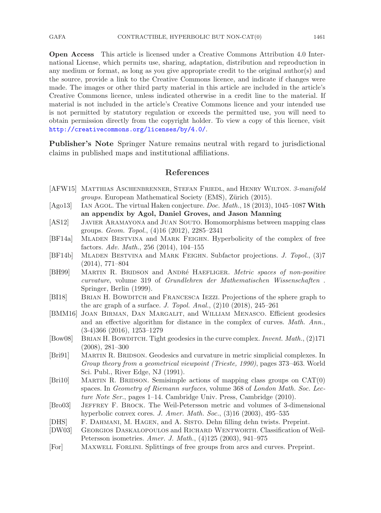GAFA CONTRACTIBLE, HYPERBOLIC BUT NON-CAT(0) 1461

**Open Access** This article is licensed under a Creative Commons Attribution 4.0 International License, which permits use, sharing, adaptation, distribution and reproduction in any medium or format, as long as you give appropriate credit to the original author(s) and the source, provide a link to the Creative Commons licence, and indicate if changes were made. The images or other third party material in this article are included in the article's Creative Commons licence, unless indicated otherwise in a credit line to the material. If material is not included in the article's Creative Commons licence and your intended use is not permitted by statutory regulation or exceeds the permitted use, you will need to obtain permission directly from the copyright holder. To view a copy of this licence, visit <http://creativecommons.org/licenses/by/4.0/>.

**Publisher's Note** Springer Nature remains neutral with regard to jurisdictional claims in published maps and institutional affiliations.

## **References**

- <span id="page-22-5"></span>[AFW15] Matthias Aschenbrenner, Stefan Friedl, and Henry Wilton. *3-manifold groups.* European Mathematical Society (EMS), Zürich (2015).
- <span id="page-22-4"></span>[Ago13] Ian Agol. The virtual Haken conjecture. *Doc. Math.*, 18 (2013), 1045–1087 **With an appendix by Agol, Daniel Groves, and Jason Manning**
- <span id="page-22-3"></span>[AS12] Javier Aramayona and Juan Souto. Homomorphisms between mapping class groups. *Geom. Topol.*, (4)16 (2012), 2285–2341
- <span id="page-22-9"></span>[BF14a] Mladen Bestvina and Mark Feighn. Hyperbolicity of the complex of free factors. *Adv. Math.*, 256 (2014), 104–155
- <span id="page-22-10"></span>[BF14b] Mladen Bestvina and Mark Feighn. Subfactor projections. *J. Topol.*, (3)7 (2014), 771–804
- <span id="page-22-0"></span>[BH99] MARTIN R. BRIDSON and ANDRé HAEFLIGER. *Metric spaces of non-positive curvature*, volume 319 of *Grundlehren der Mathematischen Wissenschaften* . Springer, Berlin (1999).
- <span id="page-22-12"></span>[BI18] Brian H. Bowditch and Francesca Iezzi. Projections of the sphere graph to the arc graph of a surface. *J. Topol. Anal.*, (2)10 (2018), 245–261
- <span id="page-22-14"></span>[BMM16] Joan Birman, Dan Margalit, and William Menasco. Efficient geodesics and an effective algorithm for distance in the complex of curves. *Math. Ann.*, (3-4)366 (2016), 1253–1279
- <span id="page-22-8"></span>[Bow08] Brian H. Bowditch. Tight geodesics in the curve complex. *Invent. Math.*, (2)171 (2008), 281–300
- <span id="page-22-6"></span>[Bri91] Martin R. Bridson. Geodesics and curvature in metric simplicial complexes. In *Group theory from a geometrical viewpoint (Trieste, 1990)*, pages 373–463. World Sci. Publ., River Edge, NJ (1991).
- <span id="page-22-1"></span>[Bri10] MARTIN R. BRIDSON. Semisimple actions of mapping class groups on  $CAT(0)$ spaces. In *Geometry of Riemann surfaces*, volume 368 of *London Math. Soc. Lecture Note Ser.*, pages 1–14. Cambridge Univ. Press, Cambridge (2010).
- <span id="page-22-11"></span>[Bro03] Jeffrey F. Brock. The Weil-Petersson metric and volumes of 3-dimensional hyperbolic convex cores. *J. Amer. Math. Soc.*, (3)16 (2003), 495–535
- <span id="page-22-7"></span>[DHS] F. Dahmani, M. Hagen, and A. Sisto. Dehn filling dehn twists. Preprint.
- <span id="page-22-2"></span>[DW03] Georgios Daskalopoulos and Richard Wentworth. Classification of Weil-Petersson isometries. *Amer. J. Math.*, (4)125 (2003), 941–975
- <span id="page-22-13"></span>[For] Maxwell Forlini. Splittings of free groups from arcs and curves. Preprint.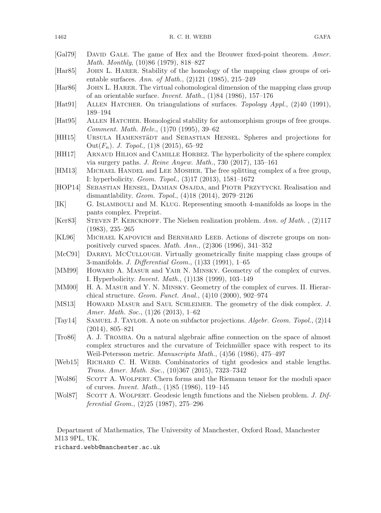<span id="page-23-20"></span><span id="page-23-19"></span><span id="page-23-18"></span><span id="page-23-17"></span><span id="page-23-16"></span><span id="page-23-15"></span><span id="page-23-14"></span><span id="page-23-13"></span><span id="page-23-12"></span><span id="page-23-11"></span><span id="page-23-10"></span><span id="page-23-9"></span><span id="page-23-8"></span><span id="page-23-7"></span><span id="page-23-6"></span><span id="page-23-5"></span><span id="page-23-4"></span><span id="page-23-3"></span><span id="page-23-2"></span><span id="page-23-1"></span><span id="page-23-0"></span>

| [Gal79]          | DAVID GALE. The game of Hex and the Brouwer fixed-point theorem. Amer.<br>Math. Monthly, (10)86 (1979), 818-827                                                                                   |
|------------------|---------------------------------------------------------------------------------------------------------------------------------------------------------------------------------------------------|
| [Har85]          | JOHN L. HARER. Stability of the homology of the mapping class groups of ori-<br>entable surfaces. Ann. of Math., $(2)121$ (1985), 215-249                                                         |
| [Har86]          | JOHN L. HARER. The virtual cohomological dimension of the mapping class group<br>of an orientable surface. <i>Invent. Math.</i> , $(1)84$ (1986), 157-176                                         |
| [Hat91]          | ALLEN HATCHER. On triangulations of surfaces. Topology Appl., (2)40 (1991),<br>189-194                                                                                                            |
| [Hat95]          | ALLEN HATCHER. Homological stability for automorphism groups of free groups.<br>Comment. Math. Helv., (1)70 (1995), 39-62                                                                         |
| [HH15]           | URSULA HAMENSTÄDT and SEBASTIAN HENSEL. Spheres and projections for<br>Out $(F_n)$ . J. Topol., (1)8 (2015), 65–92                                                                                |
| [HH17]           | ARNAUD HILION and CAMILLE HORBEZ. The hyperbolicity of the sphere complex<br>via surgery paths. J. Reine Angew. Math., 730 (2017), 135-161                                                        |
| [HM13]           | MICHAEL HANDEL and LEE MOSHER. The free splitting complex of a free group,<br>I: hyperbolicity. Geom. Topol., (3)17 (2013), 1581-1672                                                             |
| [HOP14]          | SEBASTIAN HENSEL, DAMIAN OSAJDA, and PIOTR PRZYTYCKI. Realisation and<br>dismantlability. Geom. Topol., $(4)18$ $(2014)$ , $2079-2126$                                                            |
| [IK]             | G. ISLAMBOULI and M. KLUG. Representing smooth 4-manifolds as loops in the<br>pants complex. Preprint.                                                                                            |
| [Ker83]          | STEVEN P. KERCKHOFF. The Nielsen realization problem. Ann. of Math., (2)117<br>$(1983), 235 - 265$                                                                                                |
| [KL96]           | MICHAEL KAPOVICH and BERNHARD LEEB. Actions of discrete groups on non-<br>positively curved spaces. Math. Ann., $(2)306$ (1996), 341-352                                                          |
| [McC91]          | DARRYL MCCULLOUGH. Virtually geometrically finite mapping class groups of<br>3-manifolds. J. Differential Geom., (1)33 (1991), 1-65                                                               |
| [MM99]           | HOWARD A. MASUR and YAIR N. MINSKY. Geometry of the complex of curves.<br>I. Hyperbolicity. <i>Invent. Math.</i> , (1)138 (1999), 103-149                                                         |
| [MM00]           | H. A. MASUR and Y. N. MINSKY. Geometry of the complex of curves. II. Hierar-<br>chical structure. <i>Geom. Funct. Anal.</i> , $(4)10$ $(2000)$ , $902-974$                                        |
| [MS13]           | HOWARD MASUR and SAUL SCHLEIMER. The geometry of the disk complex. J.<br>Amer. Math. Soc., (1)26 (2013), 1-62                                                                                     |
| [Tay14]          | SAMUEL J. TAYLOR. A note on subfactor projections. Algebr. Geom. Topol., (2)14<br>$(2014), 805 - 821$                                                                                             |
| $[\text{Tro86}]$ | A. J. TROMBA. On a natural algebraic affine connection on the space of almost<br>complex structures and the curvature of Teichmüller space with respect to its                                    |
| [Web15]          | Weil-Petersson metric. Manuscripta Math., (4)56 (1986), 475-497<br>RICHARD C. H. WEBB. Combinatorics of tight geodesics and stable lengths.<br>Trans. Amer. Math. Soc., (10)367 (2015), 7323-7342 |
| [Vol86]          | SCOTT A. WOLPERT. Chern forms and the Riemann tensor for the moduli space<br>of curves. <i>Invent. Math.</i> , (1)85 (1986), 119-145                                                              |
| [Wol87]          | SCOTT A. WOLPERT. Geodesic length functions and the Nielsen problem. J. Dif-<br>ferential Geom., $(2)25$ $(1987)$ , $275-296$                                                                     |
| M13 9PL, UK.     | Department of Mathematics, The University of Manchester, Oxford Road, Manchester<br>richard.webb@manchester.ac.uk                                                                                 |
|                  |                                                                                                                                                                                                   |

1462 R. C. H. WEBB GAFA